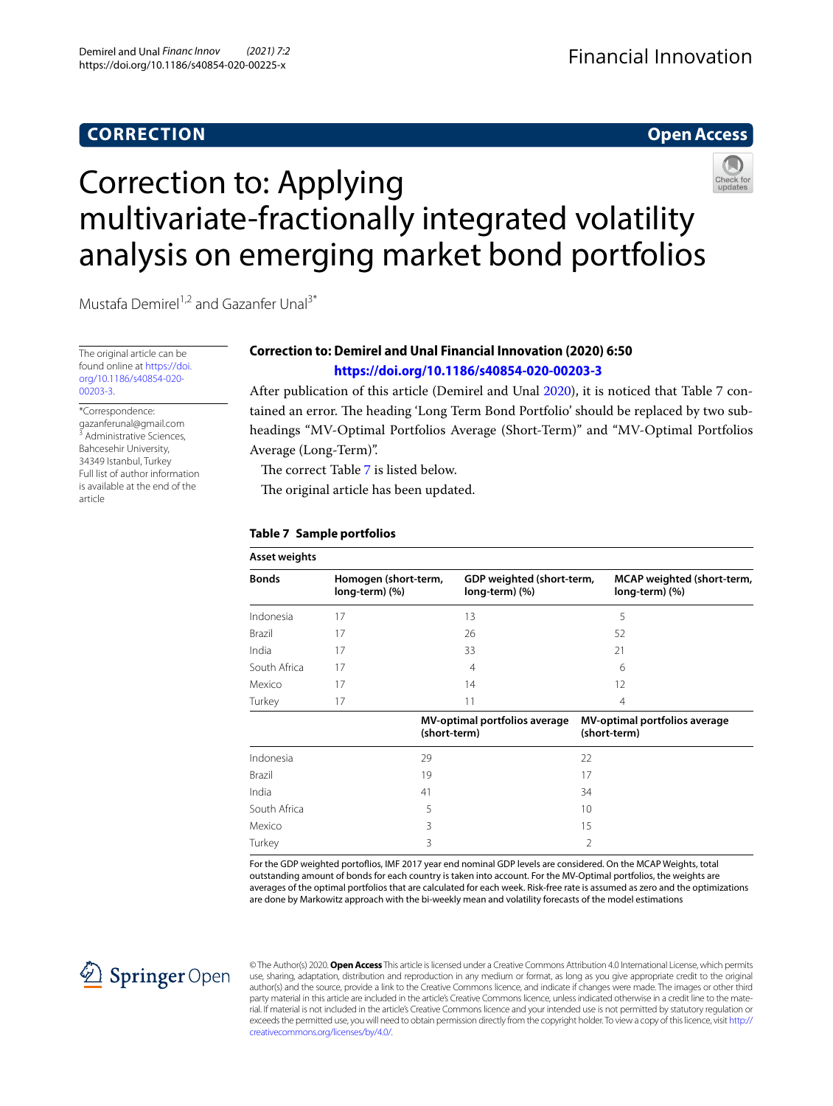# **CORRECTION**

## **Open Access**



# Correction to: Applying multivariate‑fractionally integrated volatility analysis on emerging market bond portfolios

Mustafa Demirel<sup>1,2</sup> and Gazanfer Unal<sup>3\*</sup>

The original article can be found online at [https://doi.](https://doi.org/10.1186/s40854-020-00203-3) [org/10.1186/s40854-020-](https://doi.org/10.1186/s40854-020-00203-3) [00203-3.](https://doi.org/10.1186/s40854-020-00203-3)

\*Correspondence: gazanferunal@gmail.com 3 Administrative Sciences, Bahcesehir University, 34349 Istanbul, Turkey Full list of author information is available at the end of the article

## **Correction to: Demirel and Unal Financial Innovation (2020) 6:50 <https://doi.org/10.1186/s40854-020-00203-3>**

After publication of this article (Demirel and Unal [2020](#page-1-0)), it is noticed that Table 7 contained an error. The heading 'Long Term Bond Portfolio' should be replaced by two subheadings "MV-Optimal Portfolios Average (Short-Term)" and "MV-Optimal Portfolios Average (Long-Term)".

The correct Table [7](#page-0-0) is listed below.

The original article has been updated.

#### <span id="page-0-0"></span>**Table 7 Sample portfolios**

| <b>Asset weights</b> |                                        |                                               |                                               |
|----------------------|----------------------------------------|-----------------------------------------------|-----------------------------------------------|
| <b>Bonds</b>         | Homogen (short-term,<br>long-term) (%) | GDP weighted (short-term,<br>long-term) (%)   | MCAP weighted (short-term,<br>long-term) (%)  |
| Indonesia            | 17                                     | 13                                            | 5                                             |
| Brazil               | 17                                     | 26                                            | 52                                            |
| India                | 17                                     | 33                                            | 21                                            |
| South Africa         | 17                                     | $\overline{4}$                                | 6                                             |
| Mexico               | 17                                     | 14                                            | 12                                            |
| Turkey               | 17                                     | 11                                            | $\overline{4}$                                |
|                      |                                        | MV-optimal portfolios average<br>(short-term) | MV-optimal portfolios average<br>(short-term) |
| Indonesia            |                                        | 29                                            | 22                                            |
| Brazil               |                                        | 19                                            | 17                                            |
| India                |                                        | 41                                            | 34                                            |
| South Africa         |                                        | 5                                             | 10                                            |
| Mexico               |                                        | 3                                             | 15                                            |
| Turkey               |                                        | 3                                             | 2                                             |

For the GDP weighted portofios, IMF 2017 year end nominal GDP levels are considered. On the MCAP Weights, total outstanding amount of bonds for each country is taken into account. For the MV-Optimal portfolios, the weights are averages of the optimal portfolios that are calculated for each week. Risk-free rate is assumed as zero and the optimizations are done by Markowitz approach with the bi-weekly mean and volatility forecasts of the model estimations



© The Author(s) 2020. **Open Access** This article is licensed under a Creative Commons Attribution 4.0 International License, which permits use, sharing, adaptation, distribution and reproduction in any medium or format, as long as you give appropriate credit to the original author(s) and the source, provide a link to the Creative Commons licence, and indicate if changes were made. The images or other third party material in this article are included in the article's Creative Commons licence, unless indicated otherwise in a credit line to the material. If material is not included in the article's Creative Commons licence and your intended use is not permitted by statutory regulation or exceeds the permitted use, you will need to obtain permission directly from the copyright holder. To view a copy of this licence, visit [http://](http://creativecommons.org/licenses/by/4.0/) [creativecommons.org/licenses/by/4.0/.](http://creativecommons.org/licenses/by/4.0/)